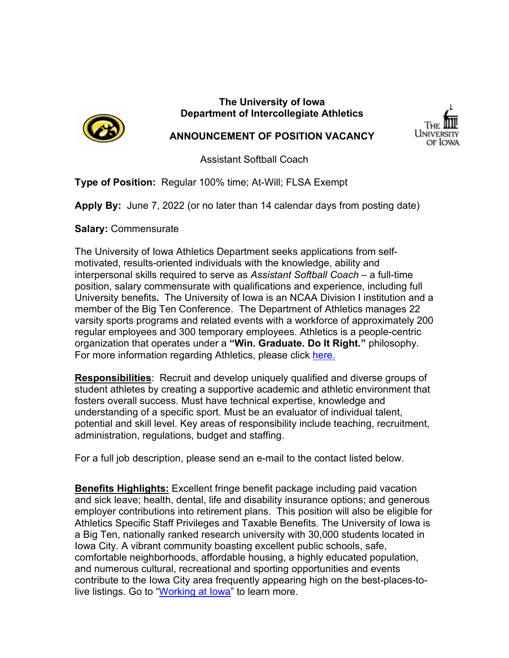

#### **The University of Iowa Department of Intercollegiate Athletics**



#### **ANNOUNCEMENT OF POSITION VACANCY**

Assistant Softball Coach

**Type of Position:** Regular 100% time; At-Will; FLSA Exempt

**Apply By:** June 7, 2022 (or no later than 14 calendar days from posting date)

**Salary:** Commensurate

The University of Iowa Athletics Department seeks applications from selfmotivated, results-oriented individuals with the knowledge, ability and interpersonal skills required to serve as *Assistant Softball Coach* – a full-time position, salary commensurate with qualifications and experience, including full University benefits**.** The University of Iowa is an NCAA Division I institution and a member of the Big Ten Conference. The Department of Athletics manages 22 varsity sports programs and related events with a workforce of approximately 200 regular employees and 300 temporary employees. Athletics is a people-centric organization that operates under a **"Win. Graduate. Do It Right."** philosophy. For more information regarding Athletics, please click [here.](https://hawkeyesports.com/about-ui-athletics/)

**Responsibilities**: Recruit and develop uniquely qualified and diverse groups of student athletes by creating a supportive academic and athletic environment that fosters overall success. Must have technical expertise, knowledge and understanding of a specific sport. Must be an evaluator of individual talent, potential and skill level. Key areas of responsibility include teaching, recruitment, administration, regulations, budget and staffing.

For a full job description, please send an e-mail to the contact listed below.

**Benefits Highlights:** Excellent fringe benefit package including paid vacation and sick leave; health, dental, life and disability insurance options; and generous employer contributions into retirement plans. This position will also be eligible for Athletics Specific Staff Privileges and Taxable Benefits*.* The University of Iowa is a Big Ten, nationally ranked research university with 30,000 students located in Iowa City. A vibrant community boasting excellent public schools, safe, comfortable neighborhoods, affordable housing, a highly educated population, and numerous cultural, recreational and sporting opportunities and events contribute to the Iowa City area frequently appearing high on the best-places-tolive listings. Go to "Working at lowa" to learn more.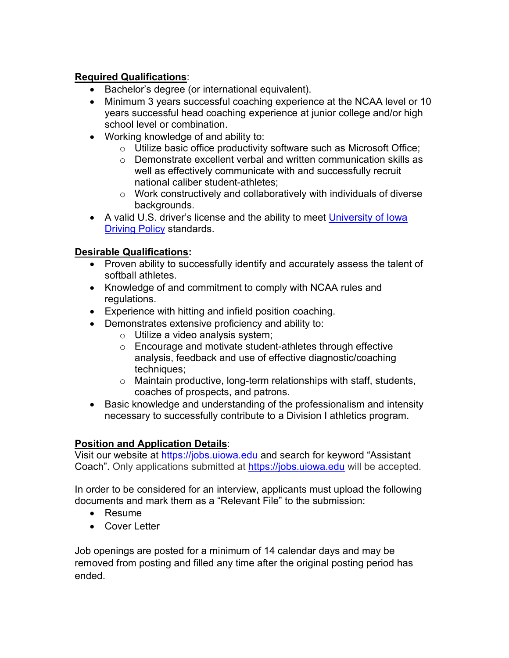## **Required Qualifications**:

- Bachelor's degree (or international equivalent).
- Minimum 3 years successful coaching experience at the NCAA level or 10 years successful head coaching experience at junior college and/or high school level or combination.
- Working knowledge of and ability to:
	- o Utilize basic office productivity software such as Microsoft Office;
	- o Demonstrate excellent verbal and written communication skills as well as effectively communicate with and successfully recruit national caliber student-athletes;
	- $\circ$  Work constructively and collaboratively with individuals of diverse backgrounds.
- A valid U.S. driver's license and the ability to meet University of lowa [Driving Policy](https://opsmanual.uiowa.edu/administrative-financial-and-facilities-policies/fleet-services/university-driving-policy) standards.

## **Desirable Qualifications:**

- Proven ability to successfully identify and accurately assess the talent of softball athletes.
- Knowledge of and commitment to comply with NCAA rules and regulations.
- Experience with hitting and infield position coaching.
- Demonstrates extensive proficiency and ability to:
	- o Utilize a video analysis system;
	- o Encourage and motivate student-athletes through effective analysis, feedback and use of effective diagnostic/coaching techniques;
	- o Maintain productive, long-term relationships with staff, students, coaches of prospects, and patrons.
- Basic knowledge and understanding of the professionalism and intensity necessary to successfully contribute to a Division I athletics program.

# **Position and Application Details**:

Visit our website at [https://jobs.uiowa.](https://jobs.uiowa/)edu and search for keyword "Assistant Coach". Only applications submitted at [https://jobs.uiowa.edu](https://jobs.uiowa.edu/) will be accepted.

In order to be considered for an interview, applicants must upload the following documents and mark them as a "Relevant File" to the submission:

- Resume
- Cover Letter

Job openings are posted for a minimum of 14 calendar days and may be removed from posting and filled any time after the original posting period has ended.